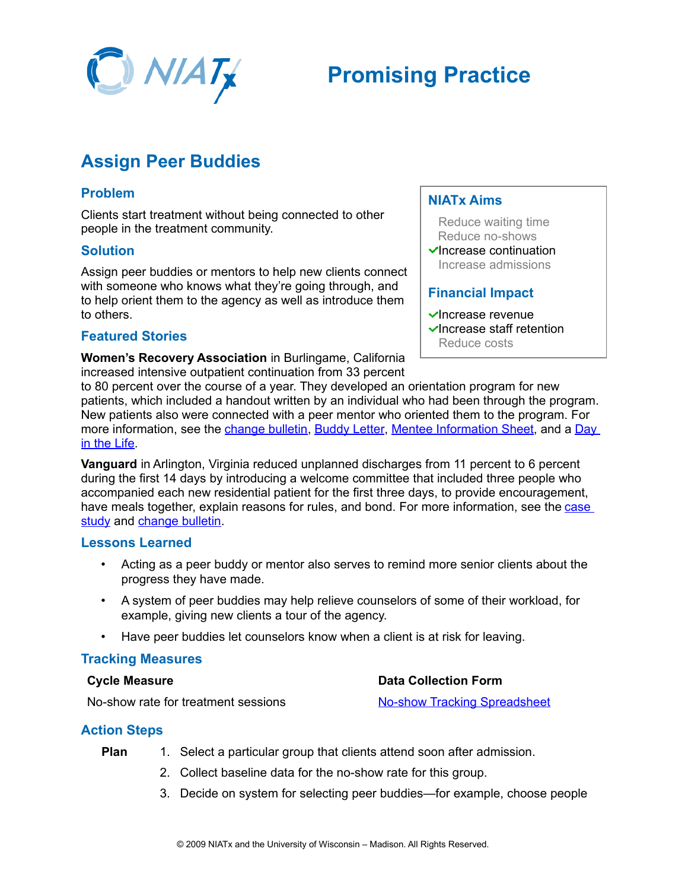

# **Promising Practice**

# **Assign Peer Buddies**

## **Problem**

Clients start treatment without being connected to other people in the treatment community.

#### **Solution**

Assign peer buddies or mentors to help new clients connect with someone who knows what they're going through, and to help orient them to the agency as well as introduce them to others.

### **Featured Stories**

**Women's Recovery Association** in Burlingame, California increased intensive outpatient continuation from 33 percent

### **NIATx Aims**

Reduce waiting time Reduce no-shows

 $\checkmark$ Increase continuation Increase admissions

### **Financial Impact**

- $\blacktriangleright$ Increase revenue  $\blacktriangleright$ Increase staff retention
	- Reduce costs

to 80 percent over the course of a year. They developed an orientation program for new patients, which included a handout written by an individual who had been through the program. New patients also were connected with a peer mentor who oriented them to the program. For more information, see the [change bulletin,](http://www.niatx.net/toolkits/provider/WRAChangeBulletin.pdf) [Buddy Letter,](http://www.niatx.net/toolkits/provider/WRABuddyLetter.pdf) [Mentee Information Sheet,](http://www.niatx.net/toolkits/provider/WRAMenteeInformationSheet.pdf) and a [Day](http://www.niatx.net/toolkits/provider/WRADayInTheLife.pdf) [in the Life.](http://www.niatx.net/toolkits/provider/WRADayInTheLife.pdf)

**Vanguard** in Arlington, Virginia reduced unplanned discharges from 11 percent to 6 percent during the first 14 days by introducing a welcome committee that included three people who accompanied each new residential patient for the first three days, to provide encouragement, have meals together, explain reasons for rules, and bond. For more information, see the [case](http://www.niatx.net/toolkits/provider/CaseStudy_Vanguard_ResidentialRetention_0306.pdf) [study](http://www.niatx.net/toolkits/provider/CaseStudy_Vanguard_ResidentialRetention_0306.pdf) and [change bulletin.](http://www.niatx.net/toolkits/provider/VanguardChangeBulletin.pdf)

#### **Lessons Learned**

- Acting as a peer buddy or mentor also serves to remind more senior clients about the progress they have made.
- A system of peer buddies may help relieve counselors of some of their workload, for example, giving new clients a tour of the agency.
- Have peer buddies let counselors know when a client is at risk for leaving.

#### **Tracking Measures**

#### **Cycle Measure**

#### **Data Collection Form**

No-show rate for treatment sessions

## [No-show Tracking Spreadsheet](http://www.niatx.net/toolkits/provider/NoShowTrackingSpreadsheet.xls)

# **Action Steps**

- **Plan** 1. Select a particular group that clients attend soon after admission.
	- 2. Collect baseline data for the no-show rate for this group.
	- 3. Decide on system for selecting peer buddies—for example, choose people